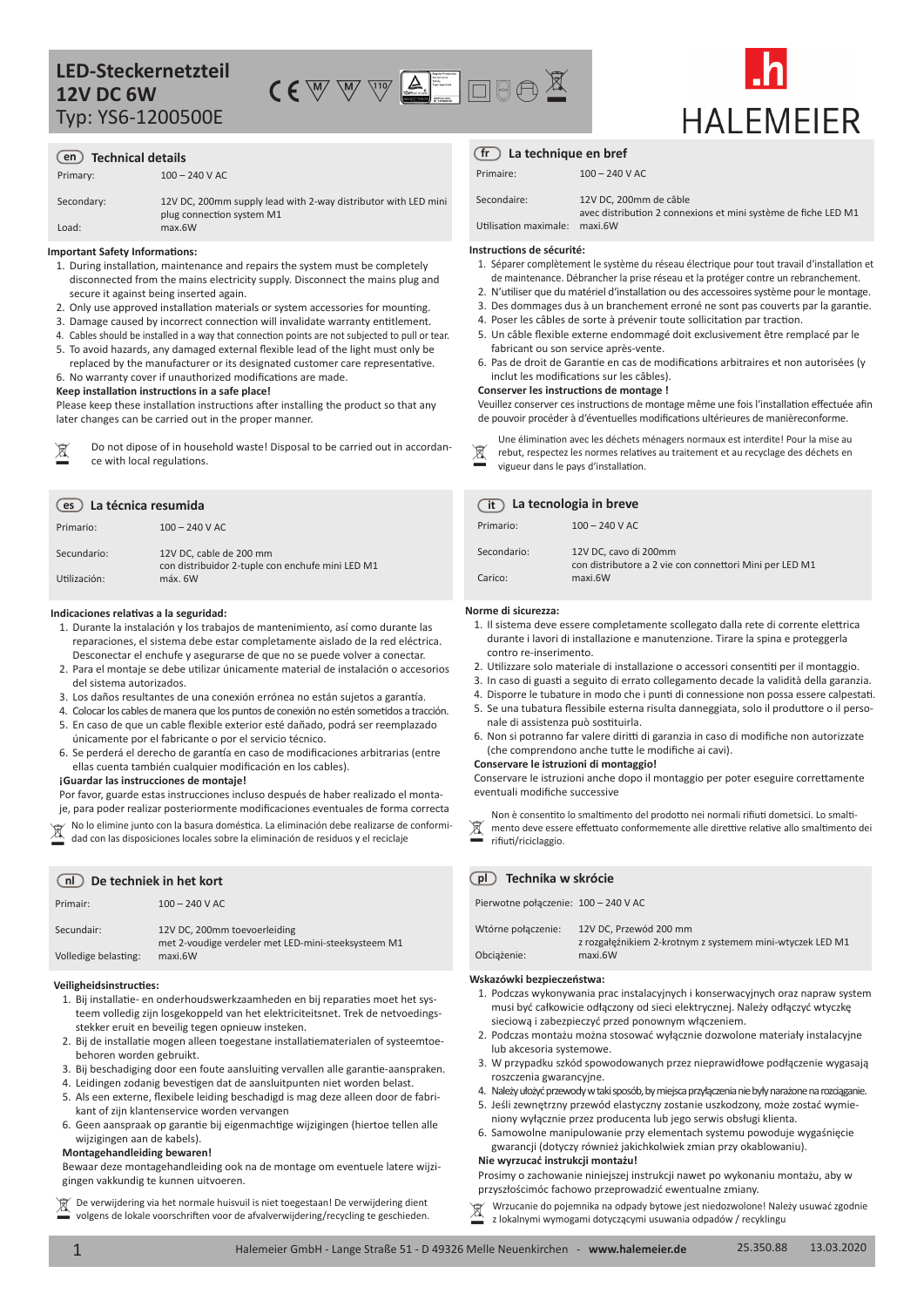

# **HAI FMFIFR**

# **en Technical details**

Primary:  $100 - 240$  V AC

Secondary: Load: 12V DC, 200mm supply lead with 2-way distributor with LED mini plug connection system M1 max.6W

# **Important Safety Informations:**

- 1. During installation, maintenance and repairs the system must be completely disconnected from the mains electricity supply. Disconnect the mains plug and secure it against being inserted again.
- 2. Only use approved installation materials or system accessories for mounting.
- 3. Damage caused by incorrect connection will invalidate warranty entitlement.
- 4. Cables should be installed in a way that connection points are not subjected to pull or tear. 5. To avoid hazards, any damaged external flexible lead of the light must only be
- replaced by the manufacturer or its designated customer care representative. 6. No warranty cover if unauthorized modifications are made.

## **Keep installation instructions in a safe place!**

Please keep these installation instructions after installing the product so that any later changes can be carried out in the proper manner.

| 凤 | Do not dipose of in household waste! Disposal to be carried out in accordan- | র  |
|---|------------------------------------------------------------------------------|----|
|   | ce with local regulations.                                                   | ୵∔ |

| La técnica resumida<br>es |                                                                             |  |      |
|---------------------------|-----------------------------------------------------------------------------|--|------|
| Primario:                 | $100 - 240$ V AC                                                            |  | Prin |
| Secundario:               | 12V DC, cable de 200 mm<br>con distribuidor 2-tuple con enchufe mini LED M1 |  | Seco |
| Utilización:              | máx. 6W                                                                     |  | Cari |

#### **Indicaciones relativas a la seguridad:**

- 1. Durante la instalación y los trabajos de mantenimiento, así como durante las reparaciones, el sistema debe estar completamente aislado de la red eléctrica. Desconectar el enchufe y asegurarse de que no se puede volver a conectar.
- 2. Para el montaje se debe utilizar únicamente material de instalación o accesorios del sistema autorizados.
- 3. Los daños resultantes de una conexión errónea no están sujetos a garantía.
- 4. Colocar los cables de manera que los puntos de conexión no estén sometidos a tracción.
- 5. En caso de que un cable flexible exterior esté dañado, podrá ser reemplazado únicamente por el fabricante o por el servicio técnico.
- 6. Se perderá el derecho de garantía en caso de modificaciones arbitrarias (entre ellas cuenta también cualquier modificación en los cables).

#### **¡Guardar las instrucciones de montaje!**

No lo elimine junto con la basura doméstica. La eliminación debe realizarse de conformi-<br>dad con las disposiciones locales sobre la eliminación de residuos y el reciclaje Por favor, guarde estas instrucciones incluso después de haber realizado el montaje, para poder realizar posteriormente modificaciones eventuales de forma correcta

### **nl De techniek in het kort**

| Primair:             | $100 - 240$ V AC                                                                    |
|----------------------|-------------------------------------------------------------------------------------|
| Secundair:           | 12V DC, 200mm toevoerleiding<br>met 2-voudige verdeler met LED-mini-steeksysteem M1 |
| Volledige belasting: | maxi.6W                                                                             |

#### **Veiligheidsinstructies:**

- 1. Bij installatie- en onderhoudswerkzaamheden en bij reparaties moet het systeem volledig zijn losgekoppeld van het elektriciteitsnet. Trek de netvoedingsstekker eruit en beveilig tegen opnieuw insteken.
- 2. Bij de installatie mogen alleen toegestane installatiematerialen of systeemtoebehoren worden gebruikt.
- 3. Bij beschadiging door een foute aansluiting vervallen alle garantie-aanspraken.
- 4. Leidingen zodanig bevestigen dat de aansluitpunten niet worden belast.
- 5. Als een externe, flexibele leiding beschadigd is mag deze alleen door de fabrikant of zijn klantenservice worden vervangen
- 6. Geen aanspraak op garantie bij eigenmachtige wijzigingen (hiertoe tellen alle wijzigingen aan de kabels).

# **Montagehandleiding bewaren!**

Bewaar deze montagehandleiding ook na de montage om eventuele latere wijzigingen vakkundig te kunnen uitvoeren.

 $\boxtimes$ De verwijdering via het normale huisvuil is niet toegestaan! De verwijdering dient volgens de lokale voorschriften voor de afvalverwijdering/recycling te geschieden.

# **La technique en bref fr**

| Primaire:   | $100 - 240$ V AC       |
|-------------|------------------------|
| Secondaire: | 12V DC, 200mm de câble |

Utilisation maximale: avec distribution 2 connexions et mini système de fiche LED M1 maxi.6W

#### **Instructions de sécurité:**

- 1. Séparer complètement le système du réseau électrique pour tout travail d'installation et de maintenance. Débrancher la prise réseau et la protéger contre un rebranchement.
- 2. N'utiliser que du matériel d'installation ou des accessoires système pour le montage.
- 3. Des dommages dus à un branchement erroné ne sont pas couverts par la garantie.
- 4. Poser les câbles de sorte à prévenir toute sollicitation par traction.
- 5. Un câble flexible externe endommagé doit exclusivement être remplacé par le fabricant ou son service après-vente.
- 6. Pas de droit de Garantie en cas de modifications arbitraires et non autorisées (y inclut les modifications sur les câbles).

# **Conserver les instructions de montage !**

Veuillez conserver ces instructions de montage même une fois l'installation effectuée afin de pouvoir procéder à d'éventuelles modifications ultérieures de manièreconforme.

- Une élimination avec les déchets ménagers normaux est interdite! Pour la mise au rebut, respectez les normes relatives au traitement et au recyclage des déchets en
- vigueur dans le pays d'installation.

# **La tecnologia in breve**

| Primario:   | $100 - 240$ V AC                                                                 |
|-------------|----------------------------------------------------------------------------------|
| Secondario: | 12V DC, cavo di 200mm<br>con distributore a 2 vie con connettori Mini per LED M1 |
| Carico:     | maxi.6W                                                                          |

# **Norme di sicurezza:**

- 1. Il sistema deve essere completamente scollegato dalla rete di corrente elettrica durante i lavori di installazione e manutenzione. Tirare la spina e proteggerla contro re-inserimento.
- 2. Utilizzare solo materiale di installazione o accessori consentiti per il montaggio.
- 3. In caso di guasti a seguito di errato collegamento decade la validità della garanzia.
- 4. Disporre le tubature in modo che i punti di connessione non possa essere calpestati.
- 5. Se una tubatura flessibile esterna risulta danneggiata, solo il produttore o il personale di assistenza può sostituirla.
- 6. Non si potranno far valere diritti di garanzia in caso di modifiche non autorizzate (che comprendono anche tutte le modifiche ai cavi).

#### **Conservare le istruzioni di montaggio!**

Conservare le istruzioni anche dopo il montaggio per poter eseguire correttamente eventuali modifiche successive

Non è consentito lo smaltimento del prodotto nei normali rifiuti dometsici. Lo smalti-

mento deve essere effettuato conformemente alle direttive relative allo smaltimento dei rifiuti/riciclaggio.

# **pl Technika w skrócie**

Pierwotne połączenie: 100 – 240 V AC

| Wtórne połączenie: | 12V DC, Przewód 200 mm                                               |
|--------------------|----------------------------------------------------------------------|
| Obciażenie:        | z rozgałęźnikiem 2-krotnym z systemem mini-wtyczek LED M1<br>maxi.6W |

#### **Wskazówki bezpieczeństwa:**

- 1. Podczas wykonywania prac instalacyjnych i konserwacyjnych oraz napraw system musi być całkowicie odłączony od sieci elektrycznej. Należy odłączyć wtyczkę sieciową i zabezpieczyć przed ponownym włączeniem.
- 2. Podczas montażu można stosować wyłącznie dozwolone materiały instalacyjne lub akcesoria systemowe.
- 3. W przypadku szkód spowodowanych przez nieprawidłowe podłączenie wygasają roszczenia gwarancyjne.
- 4. Należy ułożyć przewody w taki sposób, by miejsca przyłączenia nie były narażone na rozciąganie.
- 5. Jeśli zewnętrzny przewód elastyczny zostanie uszkodzony, może zostać wymie-
- niony wyłącznie przez producenta lub jego serwis obsługi klienta. 6. Samowolne manipulowanie przy elementach systemu powoduje wygaśnięcie

#### gwarancji (dotyczy również jakichkolwiek zmian przy okablowaniu). **Nie wyrzucać instrukcji montażu!**

Prosimy o zachowanie niniejszej instrukcji nawet po wykonaniu montażu, aby w przyszłościmóc fachowo przeprowadzić ewentualne zmiany.

m Wrzucanie do pojemnika na odpady bytowe jest niedozwolone! Należy usuwać zgodnie z lokalnymi wymogami dotyczącymi usuwania odpadów / recyklingu